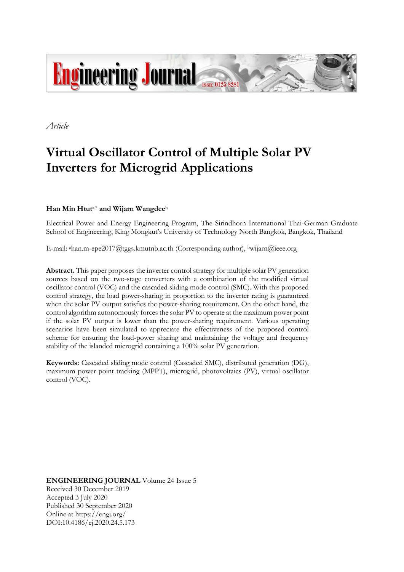

*Article* 

# **Virtual Oscillator Control of Multiple Solar PV Inverters for Microgrid Applications**

# **Han Min Htut**a,\* **and Wijarn Wangdee**<sup>b</sup>

Electrical Power and Energy Engineering Program, The Sirindhorn International Thai-German Graduate School of Engineering, King Mongkut's University of Technology North Bangkok, Bangkok, Thailand

E-mail: ahan.m-epe2017@tggs.kmutnb.ac.th (Corresponding author), bwijarn@ieee.org

**Abstract.** This paper proposes the inverter control strategy for multiple solar PV generation sources based on the two-stage converters with a combination of the modified virtual oscillator control (VOC) and the cascaded sliding mode control (SMC). With this proposed control strategy, the load power-sharing in proportion to the inverter rating is guaranteed when the solar PV output satisfies the power-sharing requirement. On the other hand, the control algorithm autonomously forces the solar PV to operate at the maximum power point if the solar PV output is lower than the power-sharing requirement. Various operating scenarios have been simulated to appreciate the effectiveness of the proposed control scheme for ensuring the load-power sharing and maintaining the voltage and frequency stability of the islanded microgrid containing a 100% solar PV generation.

**Keywords:** Cascaded sliding mode control (Cascaded SMC), distributed generation (DG), maximum power point tracking (MPPT), microgrid, photovoltaics (PV), virtual oscillator control (VOC).

**ENGINEERING JOURNAL** Volume 24 Issue 5 Received 30 December 2019 Accepted 3 July 2020 Published 30 September 2020 Online at https://engj.org/ DOI:10.4186/ej.2020.24.5.173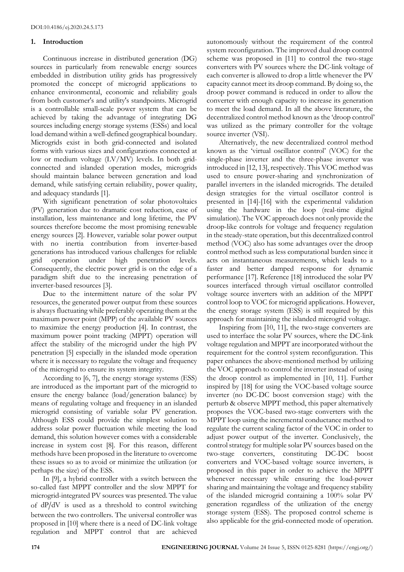## **1. Introduction**

Continuous increase in distributed generation (DG) sources in particularly from renewable energy sources embedded in distribution utility grids has progressively promoted the concept of microgrid applications to enhance environmental, economic and reliability goals from both customer's and utility's standpoints. Microgrid is a controllable small-scale power system that can be achieved by taking the advantage of integrating DG sources including energy storage systems (ESSs) and local load demand within a well-defined geographical boundary. Microgrids exist in both grid-connected and isolated forms with various sizes and configurations connected at low or medium voltage (LV/MV) levels. In both gridconnected and islanded operation modes, microgrids should maintain balance between generation and load demand, while satisfying certain reliability, power quality, and adequacy standards [1].

With significant penetration of solar photovoltaics (PV) generation due to dramatic cost reduction, ease of installation, less maintenance and long lifetime, the PV sources therefore become the most promising renewable energy sources [2]. However, variable solar power output with no inertia contribution from inverter-based generations has introduced various challenges for reliable grid operation under high penetration levels. Consequently, the electric power grid is on the edge of a paradigm shift due to the increasing penetration of inverter-based resources [3].

Due to the intermittent nature of the solar PV resources, the generated power output from these sources is always fluctuating while preferably operating them at the maximum power point (MPP) of the available PV sources to maximize the energy production [4]. In contrast, the maximum power point tracking (MPPT) operation will affect the stability of the microgrid under the high PV penetration [5] especially in the islanded mode operation where it is necessary to regulate the voltage and frequency of the microgrid to ensure its system integrity.

According to [6, 7], the energy storage systems (ESS) are introduced as the important part of the microgrid to ensure the energy balance (load/generation balance) by means of regulating voltage and frequency in an islanded microgrid consisting of variable solar PV generation. Although ESS could provide the simplest solution to address solar power fluctuation while meeting the load demand, this solution however comes with a considerable increase in system cost [8]. For this reason, different methods have been proposed in the literature to overcome these issues so as to avoid or minimize the utilization (or perhaps the size) of the ESS.

In [9], a hybrid controller with a switch between the so-called fast MPPT controller and the slow MPPT for microgrid-integrated PV sources was presented. The value of  $dP/dV$  is used as a threshold to control switching between the two controllers. The universal controller was proposed in [10] where there is a need of DC-link voltage regulation and MPPT control that are achieved

autonomously without the requirement of the control system reconfiguration. The improved dual droop control scheme was proposed in [11] to control the two-stage converters with PV sources where the DC-link voltage of each converter is allowed to drop a little whenever the PV capacity cannot meet its droop command. By doing so, the droop power command is reduced in order to allow the converter with enough capacity to increase its generation to meet the load demand. In all the above literature, the decentralized control method known as the 'droop control' was utilized as the primary controller for the voltage source inverter (VSI).

Alternatively, the new decentralized control method known as the 'virtual oscillator control' (VOC) for the single-phase inverter and the three-phase inverter was introduced in [12, 13], respectively. This VOC method was used to ensure power-sharing and synchronization of parallel inverters in the islanded microgrids. The detailed design strategies for the virtual oscillator control is presented in [14]-[16] with the experimental validation using the hardware in the loop (real-time digital simulation). The VOC approach does not only provide the droop-like controls for voltage and frequency regulation in the steady-state operation, but this decentralized control method (VOC) also has some advantages over the droop control method such as less computational burden since it acts on instantaneous measurements, which leads to a faster and better damped response for dynamic performance [17]. Reference [18] introduced the solar PV sources interfaced through virtual oscillator controlled voltage source inverters with an addition of the MPPT control loop to VOC for microgrid applications. However, the energy storage system (ESS) is still required by this approach for maintaining the islanded microgrid voltage.

Inspiring from [10, 11], the two-stage converters are used to interface the solar PV sources, where the DC-link voltage regulation and MPPT are incorporated without the requirement for the control system reconfiguration. This paper enhances the above-mentioned method by utilizing the VOC approach to control the inverter instead of using the droop control as implemented in [10, 11]. Further inspired by [18] for using the VOC-based voltage source inverter (no DC-DC boost conversion stage) with the perturb & observe MPPT method, this paper alternatively proposes the VOC-based two-stage converters with the MPPT loop using the incremental conductance method to regulate the current scaling factor of the VOC in order to adjust power output of the inverter. Conclusively, the control strategy for multiple solar PV sources based on the two-stage converters, constituting DC-DC boost converters and VOC-based voltage source inverters, is proposed in this paper in order to achieve the MPPT whenever necessary while ensuring the load-power sharing and maintaining the voltage and frequency stability of the islanded microgrid containing a 100% solar PV generation regardless of the utilization of the energy storage system (ESS). The proposed control scheme is also applicable for the grid-connected mode of operation.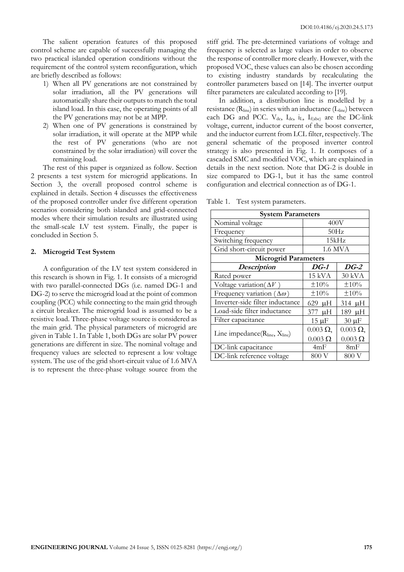The salient operation features of this proposed control scheme are capable of successfully managing the two practical islanded operation conditions without the requirement of the control system reconfiguration, which are briefly described as follows:

- 1) When all PV generations are not constrained by solar irradiation, all the PV generations will automatically share their outputs to match the total island load. In this case, the operating points of all the PV generations may not be at MPP.
- 2) When one of PV generations is constrained by solar irradiation, it will operate at the MPP while the rest of PV generations (who are not constrained by the solar irradiation) will cover the remaining load.

The rest of this paper is organized as follow. Section 2 presents a test system for microgrid applications. In Section 3, the overall proposed control scheme is explained in details. Section 4 discusses the effectiveness of the proposed controller under five different operation scenarios considering both islanded and grid-connected modes where their simulation results are illustrated using the small-scale LV test system. Finally, the paper is concluded in Section 5.

## **2. Microgrid Test System**

A configuration of the LV test system considered in this research is shown in Fig. 1. It consists of a microgrid with two parallel-connected DGs (i.e. named DG-1 and DG-2) to serve the microgrid load at the point of common coupling (PCC) while connecting to the main grid through a circuit breaker. The microgrid load is assumed to be a resistive load. Three-phase voltage source is considered as the main grid. The physical parameters of microgrid are given in Table 1. In Table 1, both DGs are solar PV power generations are different in size. The nominal voltage and frequency values are selected to represent a low voltage system. The use of the grid short-circuit value of 1.6 MVA is to represent the three-phase voltage source from the

stiff grid. The pre-determined variations of voltage and frequency is selected as large values in order to observe the response of controller more clearly. However, with the proposed VOC, these values can also be chosen according to existing industry standards by recalculating the controller parameters based on [14]. The inverter output filter parameters are calculated according to [19].

In addition, a distribution line is modelled by a resistance (Rline) in series with an inductance (Lline) between each DG and PCC. V<sub>dc</sub>,  $I_{dc}$ ,  $I_{f(abc)}$  are the DC-link voltage, current, inductor current of the boost converter, and the inductor current from LCL filter, respectively. The general schematic of the proposed inverter control strategy is also presented in Fig. 1. It composes of a cascaded SMC and modified VOC, which are explained in details in the next section. Note that DG-2 is double in size compared to DG-1, but it has the same control configuration and electrical connection as of DG-1.

Table 1. Test system parameters.

| <b>System Parameters</b>               |                  |                  |
|----------------------------------------|------------------|------------------|
| Nominal voltage                        | 400V             |                  |
| Frequency                              | 50Hz             |                  |
| Switching frequency                    | 15kHz            |                  |
| Grid short-circuit power               | 1.6 MVA          |                  |
| <b>Microgrid Parameters</b>            |                  |                  |
| <b>Description</b>                     | DG-1             | $DG-2$           |
| Rated power                            | 15 kVA           | $30 \text{ kVA}$ |
| Voltage variation( $\Delta V$ )        | ±10%             | ±10%             |
| Frequency variation ( $\Delta\omega$ ) | $\pm 10\%$       | ±10%             |
| Inverter-side filter inductance        | $629$ uH         | $314 \mu H$      |
| Load-side filter inductance            | 377 µH           | 189 µH           |
| Filter capacitance                     | $15 \mu F$       | $30 \mu F$       |
| Line impedance(Rline, Xline)           | $0.003 \Omega$ , | $0.003 \Omega$ , |
|                                        | $0.003 \Omega$   | $0.003 \Omega$   |
| DC-link capacitance                    | 4mF              | 8mF              |
| DC-link reference voltage              | 800 V            | 800 V            |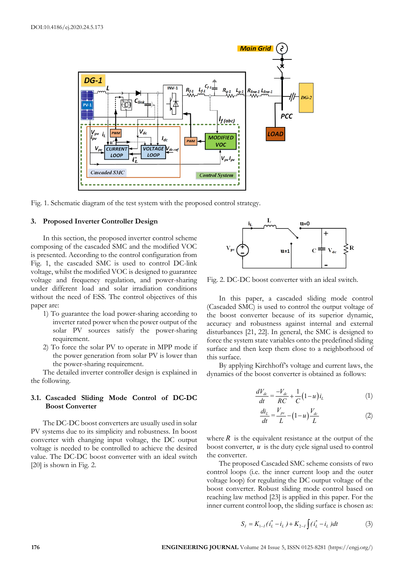

Fig. 1. Schematic diagram of the test system with the proposed control strategy.

## **3. Proposed Inverter Controller Design**

In this section, the proposed inverter control scheme composing of the cascaded SMC and the modified VOC is presented. According to the control configuration from Fig. 1, the cascaded SMC is used to control DC-link voltage, whilst the modified VOC is designed to guarantee voltage and frequency regulation, and power-sharing under different load and solar irradiation conditions without the need of ESS. The control objectives of this paper are:

- 1) To guarantee the load power-sharing according to inverter rated power when the power output of the solar PV sources satisfy the power-sharing requirement.
- 2) To force the solar PV to operate in MPP mode if the power generation from solar PV is lower than the power-sharing requirement.

The detailed inverter controller design is explained in the following.

## **3.1. Cascaded Sliding Mode Control of DC-DC Boost Converter**

The DC-DC boost converters are usually used in solar PV systems due to its simplicity and robustness. In boost converter with changing input voltage, the DC output voltage is needed to be controlled to achieve the desired value. The DC-DC boost converter with an ideal switch [20] is shown in Fig. 2.



Fig. 2. DC-DC boost converter with an ideal switch.

In this paper, a cascaded sliding mode control (Cascaded SMC) is used to control the output voltage of the boost converter because of its superior dynamic, accuracy and robustness against internal and external disturbances [21, 22]. In general, the SMC is designed to force the system state variables onto the predefined sliding surface and then keep them close to a neighborhood of this surface.

By applying Kirchhoff's voltage and current laws, the dynamics of the boost converter is obtained as follows:

$$
\frac{dV_{dc}}{dt} = \frac{-V_{dc}}{RC} + \frac{1}{C} (1 - u) i_L
$$
 (1)

$$
\frac{di_L}{dt} = \frac{V_{pv}}{L} - (1 - u) \frac{V_{dc}}{L}
$$
 (2)

where  $R$  is the equivalent resistance at the output of the boost converter, *u* is the duty cycle signal used to control the converter.

The proposed Cascaded SMC scheme consists of two control loops (i.e. the inner current loop and the outer voltage loop) for regulating the DC output voltage of the boost converter. Robust sliding mode control based on reaching law method [23] is applied in this paper. For the inner current control loop, the sliding surface is chosen as:

$$
S_{I} = K_{1-I}(\dot{i}_{L}^{*} - i_{L}) + K_{2-I} \int (\dot{i}_{L}^{*} - i_{L}) dt
$$
 (3)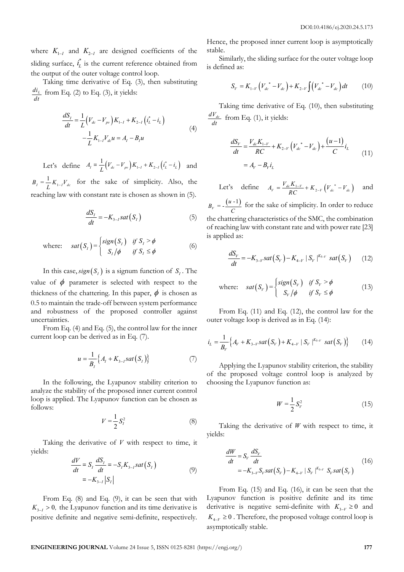where  $K_{1-I}$  and  $K_{2-I}$  are designed coefficients of the sliding surface,  $i_L^*$  is the current reference obtained from the output of the outer voltage control loop.

Taking time derivative of Eq. (3), then substituting  $\frac{di_L}{dt}$  from Eq. (2) to Eq. (3), it yields:

$$
\frac{dS_I}{dt} = \frac{1}{L} \left( V_{dc} - V_{pv} \right) K_{1-I} + K_{2-I} \left( i_L^* - i_L \right) \n- \frac{1}{L} K_{1-I} V_{dc} u = A_I - B_I u
$$
\n(4)

Let's define  $A_{I} = \frac{1}{L} (V_{dc} - V_{pv}) K_{1-I} + K_{2-I} (t_{L}^{*} - t_{L})$  and

 $B_{I} = \frac{1}{L} K_{1-I} V_{dc}$  for the sake of simplicity. Also, the reaching law with constant rate is chosen as shown in (5).

$$
\frac{dS_I}{dt} = -K_{3-I} sat(S_I)
$$
 (5)

where: 
$$
sat(S_t) = \begin{cases} sign(S_t) & \text{if } S_t > \phi \\ S_t/\phi & \text{if } S_t \le \phi \end{cases}
$$
 (6)

In this case,  $sign(S_i)$  is a signum function of  $S_i$ . The value of  $\phi$  parameter is selected with respect to the thickness of the chattering. In this paper,  $\phi$  is chosen as 0.5 to maintain the trade-off between system performance and robustness of the proposed controller against uncertainties.

From Eq. (4) and Eq. (5), the control law for the inner current loop can be derived as in Eq. (7).

$$
u = \frac{1}{B_I} \Big\{ A_I + K_{3-I} sat(S_I) \Big\} \tag{7}
$$

In the following, the Lyapunov stability criterion to analyze the stability of the proposed inner current control loop is applied. The Lyapunov function can be chosen as follows:

$$
V = \frac{1}{2} S_l^2 \tag{8}
$$

Taking the derivative of *V* with respect to time, it yields:

$$
\frac{dV}{dt} = S_I \frac{dS_I}{dt} = -S_I K_{3-I} sat(S_I)
$$
\n
$$
= -K_{3-I} |S_I|
$$
\n(9)

From Eq. (8) and Eq. (9), it can be seen that with  $K_{3-1} > 0$ , the Lyapunov function and its time derivative is positive definite and negative semi-definite, respectively.

Hence, the proposed inner current loop is asymptotically stable.

Similarly, the sliding surface for the outer voltage loop is defined as:

$$
S_V = K_{1-V} \left( V_{dc}^* - V_{dc} \right) + K_{2-V} \int \left( V_{dc}^* - V_{dc} \right) dt \tag{10}
$$

Taking time derivative of Eq. (10), then substituting  $\frac{dV_{dc}}{dt}$  from Eq. (1), it yields:

$$
\frac{dS_V}{dt} = \frac{V_{dc}K_{1-V}}{RC} + K_{2-V} (V_{dc}^* - V_{dc}) + \frac{(u-1)}{C}i_L
$$
\n
$$
= A_V - B_V i_L
$$
\n(11)

Let's define  $A_V = \frac{V_{dc} K_{1-V}}{RC} + K_{2-V} (V_{dc}^* - V_{dc})$  and

 $B_v = -\frac{(u-1)}{C}$  for the sake of simplicity. In order to reduce the chattering characteristics of the SMC, the combination of reaching law with constant rate and with power rate [23] is applied as:

$$
\frac{dS_V}{dt} = -K_{3-V} sat(S_V) - K_{4-V} |S_V|^{K_{5-V}} sat(S_V)
$$
 (12)

where: 
$$
sat(S_V) = \begin{cases} sign(S_V) & \text{if } S_V > \phi \\ S_V/\phi & \text{if } S_V \le \phi \end{cases}
$$
 (13)

From Eq. (11) and Eq. (12), the control law for the outer voltage loop is derived as in Eq. (14):

$$
i_{L} = \frac{1}{B_{V}} \Big\{ A_{V} + K_{3-V} sat(S_{V}) + K_{4-V} | S_{V} |^{K_{3-V}} sat(S_{V}) \Big\}
$$
 (14)

Applying the Lyapunov stability criterion, the stability of the proposed voltage control loop is analyzed by choosing the Lyapunov function as:

$$
W = \frac{1}{2} S_V^2
$$
 (15)

Taking the derivative of *W* with respect to time, it yields:

$$
\frac{dW}{dt} = S_V \frac{dS_V}{dt}
$$
\n
$$
= -K_{3-V} S_V sat(S_V) - K_{4-V} |S_V|^{K_{5-V}} S_V sat(S_V)
$$
\n(16)

From Eq. (15) and Eq. (16), it can be seen that the Lyapunov function is positive definite and its time derivative is negative semi-definite with  $K_{3-y} \geq 0$  and  $K_{4-y} \geq 0$ . Therefore, the proposed voltage control loop is asymptotically stable.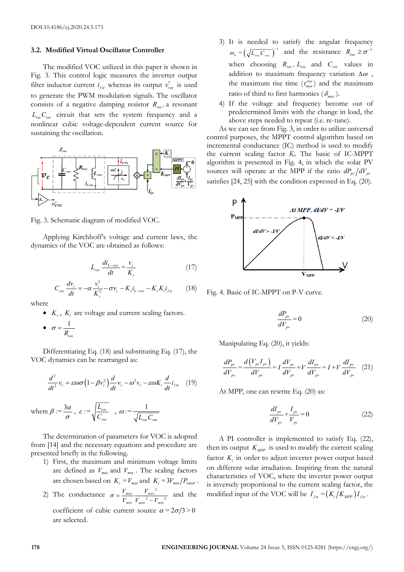#### **3.2. Modified Virtual Oscillator Controller**

The modified VOC utilized in this paper is shown in Fig. 3. This control logic measures the inverter output filter inductor current  $i_{fa}$  whereas its output  $v_{\text{vac}}^*$  is used to generate the PWM modulation signals. The oscillator consists of a negative damping resistor  $R_{\text{vac}}$ , a resonant  $L_{\text{vac}} C_{\text{vac}}$  circuit that sets the system frequency and a nonlinear cubic voltage-dependent current source for sustaining the oscillation.



Fig. 3. Schematic diagram of modified VOC.

Applying Kirchhoff's voltage and current laws, the dynamics of the VOC are obtained as follows:

$$
L_{\text{vac}} \frac{di_{L-\text{vac}}}{dt} = \frac{v_c}{K_v} \tag{17}
$$

$$
C_{\text{vac}} \frac{dv_c}{dt} = -\alpha \frac{v_c^3}{K_v^2} - \sigma v_c - K_v i_{L-\text{vac}} - K_v K_i i_{fa} \tag{18}
$$

where

- $K_v$ ,  $K_i$  are voltage and current scaling factors.
- $\bullet \quad \sigma = \frac{1}{1}$ *Rvoc*  $\sigma = \frac{1}{R}$

Differentiating Eq. (18) and substituting Eq. (17), the VOC dynamics can be rearranged as:

$$
\frac{d^2}{dt^2}v_c = \varepsilon \omega \sigma \left(1 - \beta v_c^2\right) \frac{d}{dt} v_c - \omega^2 v_c - \varepsilon \omega K_i \frac{d}{dt} i_{fa} \quad (19)
$$

where 
$$
\beta := \frac{3\alpha}{\sigma}
$$
,  $\varepsilon := \sqrt{\frac{L_{\text{voc}}}{C_{\text{voc}}}}$ ,  $\omega := \frac{1}{\sqrt{L_{\text{voc}}C_{\text{voc}}}}$ 

The determination of parameters for VOC is adopted from [14] and the necessary equations and procedure are presented briefly in the following.

- 1) First, the maximum and minimum voltage limits are defined as  $V_{max}$  and  $V_{min}$ . The scaling factors are chosen based on  $K_v = V_{max}$  and  $K_i = 3V_{min}/P_{rated}$ .
- 2) The conductance  $\sigma = \frac{V_{max}}{V_{max}} \frac{V_{max}^2}{V_{max}^2}$ *min max min*  $\sigma = \frac{V_{max}}{V_{min}} \frac{V_{max}^2}{V_{max}^2 - V_{min}^2}$  and the coefficient of cubic current source  $\alpha = 2\sigma/3 > 0$ are selected.
- 3) It is needed to satisfy the angular frequency  $\omega_n = \left(\sqrt{L_{\text{vac}} C_{\text{vac}}}\right)^{-1}$  and the resistance  $R_{\text{vac}} \ge \sigma^{-1}$ when choosing  $R_{\text{vac}}$ ,  $L_{\text{vac}}$  and  $C_{\text{vac}}$  values in addition to maximum frequency variation  $\Delta\omega$ , the maximum rise time  $(t_{max}^{rise})$  and the maximum ratio of third to first harmonics  $(\delta_{\textit{max}})$ .
- 4) If the voltage and frequency become out of predetermined limits with the change in load, the above steps needed to repeat (i.e. re-tune).

As we can see from Fig. 3, in order to utilize universal control purposes, the MPPT control algorithm based on incremental conductance (IC) method is used to modify the current scaling factor *Ki*. The basic of IC-MPPT algorithm is presented in Fig. 4, in which the solar PV sources will operate at the MPP if the ratio  $dP_{pv}/dV_{pv}$ satisfies [24, 25] with the condition expressed in Eq. (20).



Fig. 4. Basic of IC-MPPT on P-V curve.

$$
\frac{dP_{pv}}{dV_{pv}} = 0\tag{20}
$$

Manipulating Eq. (20), it yields:

$$
\frac{dP_{pv}}{dV_{pv}} = \frac{d(V_{pv}I_{pv})}{dV_{pv}} = I\frac{dV_{pv}}{dV_{pv}} + V\frac{dI_{pv}}{dV_{pv}} = I + V\frac{dI_{pv}}{dV_{pv}} \quad (21)
$$

At MPP, one can rewrite Eq. (20) as:

$$
\frac{dI_{pv}}{dV_{pv}} + \frac{I_{pv}}{V_{pv}} = 0
$$
\n(22)

A PI controller is implemented to satisfy Eq. (22), then its output  $K_{MPP}$  is used to modify the current scaling factor  $K_i$  in order to adjust inverter power output based on different solar irradiation. Inspiring from the natural characteristics of VOC, where the inverter power output is inversely proportional to the current scaling factor, the modified input of the VOC will be  $I'_{fa} = (K_i/K_{MPP})I_{fa}$ .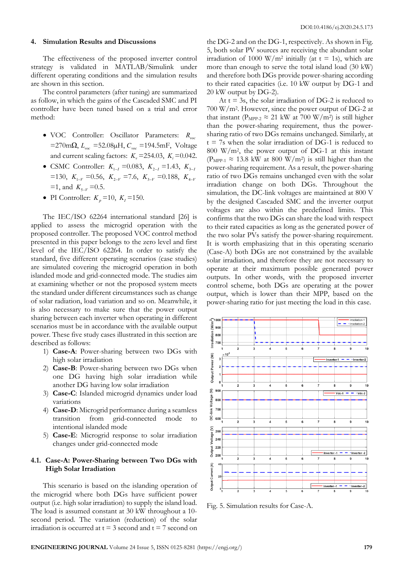#### **4. Simulation Results and Discussions**

The effectiveness of the proposed inverter control strategy is validated in MATLAB/Simulink under different operating conditions and the simulation results are shown in this section.

The control parameters (after tuning) are summarized as follow, in which the gains of the Cascaded SMC and PI controller have been tuned based on a trial and error method:

- VOC Controller: Oscillator Parameters: *Rvoc* =270mΩ, *Lvoc* =52.08µH, *Cvoc* =194.5mF, Voltage and current scaling factors:  $K_v = 254.03$ ,  $K_i = 0.042$ .
- CSMC Controller:  $K_{1-I} = 0.083, K_{2-I} = 1.43, K_{3-I}$  $=130$ ,  $K_{1-V} = 0.56$ ,  $K_{2-V} = 7.6$ ,  $K_{3-V} = 0.188$ ,  $K_{4-V}$  $=1$ , and  $K_{5-V} = 0.5$ .
- PI Controller:  $K_p = 10, K_l = 150$ .

The IEC/ISO 62264 international standard [26] is applied to assess the microgrid operation with the proposed controller. The proposed VOC control method presented in this paper belongs to the zero level and first level of the IEC/ISO 62264. In order to satisfy the standard, five different operating scenarios (case studies) are simulated covering the microgrid operation in both islanded mode and grid-connected mode. The studies aim at examining whether or not the proposed system meets the standard under different circumstances such as change of solar radiation, load variation and so on. Meanwhile, it is also necessary to make sure that the power output sharing between each inverter when operating in different scenarios must be in accordance with the available output power. These five study cases illustrated in this section are described as follows:

- 1) **Case-A**: Power-sharing between two DGs with high solar irradiation
- 2) **Case-B**: Power-sharing between two DGs when one DG having high solar irradiation while another DG having low solar irradiation
- 3) **Case-C**: Islanded microgrid dynamics under load variations
- 4) **Case-D**: Microgrid performance during a seamless transition from grid-connected mode to intentional islanded mode
- 5) **Case-E**: Microgrid response to solar irradiation changes under grid-connected mode

#### **4.1. Case-A: Power-Sharing between Two DGs with High Solar Irradiation**

This scenario is based on the islanding operation of the microgrid where both DGs have sufficient power output (i.e. high solar irradiation) to supply the island load. The load is assumed constant at 30 kW throughout a 10 second period. The variation (reduction) of the solar irradiation is occurred at  $t = 3$  second and  $t = 7$  second on

the DG-2 and on the DG-1, respectively. As shown in Fig. 5, both solar PV sources are receiving the abundant solar irradiation of 1000 W/m<sup>2</sup> initially (at  $t = 1$ s), which are more than enough to serve the total island load (30 kW) and therefore both DGs provide power-sharing according to their rated capacities (i.e. 10 kW output by DG-1 and 20 kW output by DG-2).

At  $t = 3s$ , the solar irradiation of DG-2 is reduced to 700 W/m2. However, since the power output of DG-2 at that instant ( $P_{MPP-2} \approx 21$  kW at 700 W/m<sup>2</sup>) is still higher than the power-sharing requirement, thus the powersharing ratio of two DGs remains unchanged. Similarly, at  $t = 7s$  when the solar irradiation of DG-1 is reduced to 800 W/m2, the power output of DG-1 at this instant ( $P_{MPP-1} \approx 13.8$  kW at 800 W/m<sup>2</sup>) is still higher than the power-sharing requirement. As a result, the power-sharing ratio of two DGs remains unchanged even with the solar irradiation change on both DGs. Throughout the simulation, the DC-link voltages are maintained at 800 V by the designed Cascaded SMC and the inverter output voltages are also within the predefined limits. This confirms that the two DGs can share the load with respect to their rated capacities as long as the generated power of the two solar PVs satisfy the power-sharing requirement. It is worth emphasizing that in this operating scenario (Case-A) both DGs are not constrained by the available solar irradiation, and therefore they are not necessary to operate at their maximum possible generated power outputs. In other words, with the proposed inverter control scheme, both DGs are operating at the power output, which is lower than their MPP, based on the power-sharing ratio for just meeting the load in this case.



Fig. 5. Simulation results for Case-A.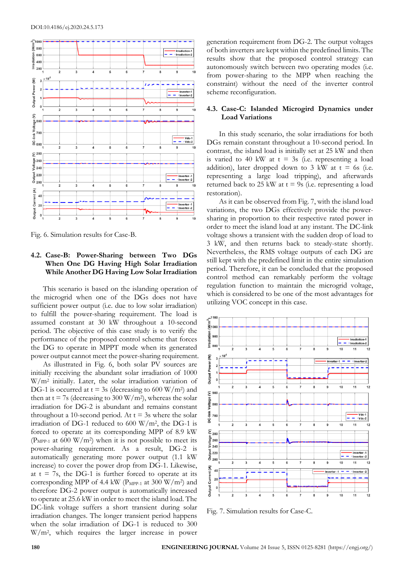

Fig. 6. Simulation results for Case-B.

## **4.2. Case-B: Power-Sharing between Two DGs When One DG Having High Solar Irradiation While Another DG Having Low Solar Irradiation**

This scenario is based on the islanding operation of the microgrid when one of the DGs does not have sufficient power output (i.e. due to low solar irradiation) to fulfill the power-sharing requirement. The load is assumed constant at 30 kW throughout a 10-second period. The objective of this case study is to verify the performance of the proposed control scheme that forces the DG to operate in MPPT mode when its generated power output cannot meet the power-sharing requirement.

As illustrated in Fig. 6, both solar PV sources are initially receiving the abundant solar irradiation of 1000 W/m2 initially. Later, the solar irradiation variation of DG-1 is occurred at  $t = 3s$  (decreasing to 600 W/m<sup>2</sup>) and then at  $t = 7s$  (decreasing to 300 W/m<sup>2</sup>), whereas the solar irradiation for DG-2 is abundant and remains constant throughout a 10-second period. At  $t = 3s$  where the solar irradiation of DG-1 reduced to 600  $\frac{W}{m^2}$ , the DG-1 is forced to operate at its corresponding MPP of 8.9 kW ( $P_{MPP-1}$  at 600 W/m<sup>2</sup>) when it is not possible to meet its power-sharing requirement. As a result, DG-2 is automatically generating more power output (1.1 kW increase) to cover the power drop from DG-1. Likewise, at  $t = 7s$ , the DG-1 is further forced to operate at its corresponding MPP of 4.4 kW ( $P_{MPP-1}$  at 300 W/m<sup>2</sup>) and therefore DG-2 power output is automatically increased to operate at 25.6 kW in order to meet the island load. The DC-link voltage suffers a short transient during solar irradiation changes. The longer transient period happens when the solar irradiation of DG-1 is reduced to 300 W/m2, which requires the larger increase in power

generation requirement from DG-2. The output voltages of both inverters are kept within the predefined limits. The results show that the proposed control strategy can autonomously switch between two operating modes (i.e. from power-sharing to the MPP when reaching the constraint) without the need of the inverter control scheme reconfiguration.

## **4.3. Case-C: Islanded Microgird Dynamics under Load Variations**

In this study scenario, the solar irradiations for both DGs remain constant throughout a 10-second period. In contrast, the island load is initially set at 25 kW and then is varied to 40 kW at  $t = 3s$  (i.e. representing a load addition), later dropped down to 3 kW at  $t = 6s$  (i.e. representing a large load tripping), and afterwards returned back to 25 kW at  $t = 9s$  (i.e. representing a load restoration).

As it can be observed from Fig. 7, with the island load variations, the two DGs effectively provide the powersharing in proportion to their respective rated power in order to meet the island load at any instant. The DC-link voltage shows a transient with the sudden drop of load to 3 kW, and then returns back to steady-state shortly. Nevertheless, the RMS voltage outputs of each DG are still kept with the predefined limit in the entire simulation period. Therefore, it can be concluded that the proposed control method can remarkably perform the voltage regulation function to maintain the microgrid voltage, which is considered to be one of the most advantages for utilizing VOC concept in this case.



Fig. 7. Simulation results for Case-C.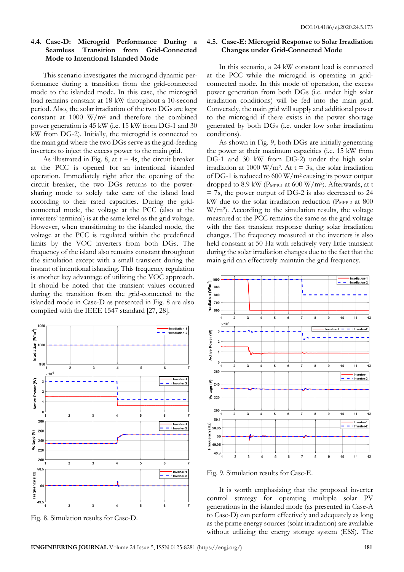## **4.4. Case-D: Microgrid Performance During a Seamless Transition from Grid-Connected Mode to Intentional Islanded Mode**

This scenario investigates the microgrid dynamic performance during a transition from the grid-connected mode to the islanded mode. In this case, the microgrid load remains constant at 18 kW throughout a 10-second period. Also, the solar irradiation of the two DGs are kept constant at  $1000 \text{ W/m}^2$  and therefore the combined power generation is 45 kW (i.e. 15 kW from DG-1 and 30 kW from DG-2). Initially, the microgrid is connected to the main grid where the two DGs serve as the grid-feeding inverters to inject the excess power to the main grid.

As illustrated in Fig. 8, at  $t = 4s$ , the circuit breaker at the PCC is opened for an intentional islanded operation. Immediately right after the opening of the circuit breaker, the two DGs returns to the powersharing mode to solely take care of the island load according to their rated capacities. During the gridconnected mode, the voltage at the PCC (also at the inverters' terminal) is at the same level as the grid voltage. However, when transitioning to the islanded mode, the voltage at the PCC is regulated within the predefined limits by the VOC inverters from both DGs. The frequency of the island also remains constant throughout the simulation except with a small transient during the instant of intentional islanding. This frequency regulation is another key advantage of utilizing the VOC approach. It should be noted that the transient values occurred during the transition from the grid-connected to the islanded mode in Case-D as presented in Fig. 8 are also complied with the IEEE 1547 standard [27, 28].



Fig. 8. Simulation results for Case-D.

## **4.5. Case-E: Microgrid Response to Solar Irradiation Changes under Grid-Connected Mode**

In this scenario, a 24 kW constant load is connected at the PCC while the microgrid is operating in gridconnected mode. In this mode of operation, the excess power generation from both DGs (i.e. under high solar irradiation conditions) will be fed into the main grid. Conversely, the main grid will supply and additional power to the microgrid if there exists in the power shortage generated by both DGs (i.e. under low solar irradiation conditions).

As shown in Fig. 9, both DGs are initially generating the power at their maximum capacities (i.e. 15 kW from DG-1 and 30 kW from DG-2) under the high solar irradiation at 1000 W/m<sup>2</sup>. At  $t = 3s$ , the solar irradiation of DG-1 is reduced to 600 W/m2 causing its power output dropped to 8.9 kW ( $P_{MPP-1}$  at 600 W/m<sup>2</sup>). Afterwards, at t = 7s, the power output of DG-2 is also decreased to 24 kW due to the solar irradiation reduction ( $P_{MPP-2}$  at 800  $W/m<sup>2</sup>$ ). According to the simulation results, the voltage measured at the PCC remains the same as the grid voltage with the fast transient response during solar irradiation changes. The frequency measured at the inverters is also held constant at 50 Hz with relatively very little transient during the solar irradiation changes due to the fact that the main grid can effectively maintain the grid frequency.



Fig. 9. Simulation results for Case-E.

It is worth emphasizing that the proposed inverter control strategy for operating multiple solar PV generations in the islanded mode (as presented in Case-A to Case-D) can perform effectively and adequately as long as the prime energy sources (solar irradiation) are available without utilizing the energy storage system (ESS). The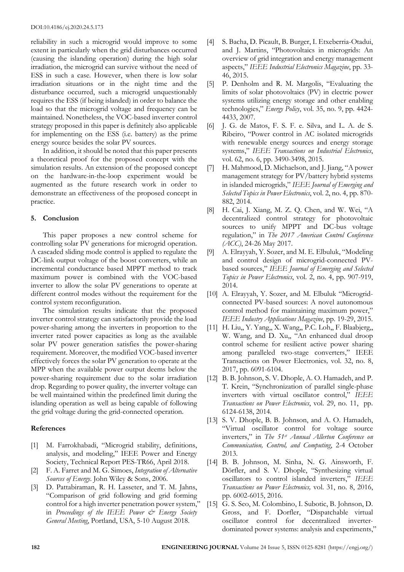reliability in such a microgrid would improve to some extent in particularly when the grid disturbances occurred (causing the islanding operation) during the high solar irradiation, the microgrid can survive without the need of ESS in such a case. However, when there is low solar irradiation situations or in the night time and the disturbance occurred, such a microgrid unquestionably requires the ESS (if being islanded) in order to balance the load so that the microgrid voltage and frequency can be maintained. Nonetheless, the VOC-based inverter control strategy proposed in this paper is definitely also applicable for implementing on the ESS (i.e. battery) as the prime energy source besides the solar PV sources.

In addition, it should be noted that this paper presents a theoretical proof for the proposed concept with the simulation results. An extension of the proposed concept on the hardware-in-the-loop experiment would be augmented as the future research work in order to demonstrate an effectiveness of the proposed concept in practice.

#### **5. Conclusion**

This paper proposes a new control scheme for controlling solar PV generations for microgrid operation. A cascaded sliding mode control is applied to regulate the DC-link output voltage of the boost converters, while an incremental conductance based MPPT method to track maximum power is combined with the VOC-based inverter to allow the solar PV generations to operate at different control modes without the requirement for the control system reconfiguration.

The simulation results indicate that the proposed inverter control strategy can satisfactorily provide the load power-sharing among the inverters in proportion to the inverter rated power capacities as long as the available solar PV power generation satisfies the power-sharing requirement. Moreover, the modified VOC-based inverter effectively forces the solar PV generation to operate at the MPP when the available power output deems below the power-sharing requirement due to the solar irradiation drop. Regarding to power quality, the inverter voltage can be well maintained within the predefined limit during the islanding operation as well as being capable of following the grid voltage during the grid-connected operation.

## **References**

- [1] M. Farrokhabadi, "Microgrid stability, definitions, analysis, and modeling," IEEE Power and Energy Society, Technical Report PES-TR66, April 2018.
- [2] F. A. Farret and M. G. Simoes, *Integration of Alternative Sources of Energy*. John Wiley & Sons, 2006.
- [3] D. Pattabiraman, R. H. Lasseter, and T. M. Jahns, "Comparison of grid following and grid forming control for a high inverter penetration power system," in *Proceedings of the IEEE Power & Energy Society General Meeting*, Portland, USA, 5-10 August 2018.
- [4] S. Bacha, D. Picault, B. Burger, I. Etxeberria-Otadui, and J. Martins, "Photovoltaics in microgrids: An overview of grid integration and energy management aspects," *IEEE Industrial Electronics Magazine*, pp. 33- 46, 2015.
- [5] P. Denholm and R. M. Margolis, "Evaluating the limits of solar photovoltaics (PV) in electric power systems utilizing energy storage and other enabling technologies," *Energy Policy*, vol. 35, no. 9, pp. 4424- 4433, 2007.
- [6] J. G. de Matos, F. S. F. e. Silva, and L. A. de S. Ribeiro, "Power control in AC isolated microgrids with renewable energy sources and energy storage systems," *IEEE Transactions on Industrial Electronics*, vol. 62, no. 6, pp. 3490-3498, 2015.
- [7] H. Mahmood, D. Michaelson, and J. Jiang, "A power management strategy for PV/battery hybrid systems in islanded microgrids," *IEEE Journal of Emerging and Selected Topics in Power Electronics*, vol. 2, no. 4, pp. 870- 882, 2014.
- [8] H. Cai, J. Xiang, M. Z. Q. Chen, and W. Wei, "A decentralized control strategy for photovoltaic sources to unify MPPT and DC-bus voltage regulation," in *The 2017 American Control Conference (ACC)*, 24-26 May 2017.
- [9] A. Elrayyah, Y. Sozer, and M. E. Elbuluk, "Modeling and control design of microgrid-connected PVbased sources," *IEEE Journal of Emerging and Selected Topics in Power Electronics*, vol. 2, no. 4, pp. 907-919, 2014.
- [10] A. Elrayyah, Y. Sozer, and M. Elbuluk "Microgridconnected PV-based sources: A novel autonomous control method for maintaining maximum power," *IEEE Industry Applications Magazine*, pp. 19-29, 2015.
- [11] H. Liu,, Y. Yang,, X. Wang,, P.C. Loh,, F. Blaabjerg,, W. Wang, and D. Xu,, "An enhanced dual droop control scheme for resilient active power sharing among paralleled two-stage converters," IEEE Transactions on Power Electronics*,* vol. 32, no. 8, 2017, pp. 6091-6104.
- [12] B. B. Johnson, S. V. Dhople, A. O. Hamadeh, and P. T. Krein, "Synchronization of parallel single-phase inverters with virtual oscillator control," *IEEE Transactions on Power Electronics*, vol. 29, no. 11, pp. 6124-6138, 2014.
- [13] S. V. Dhople, B. B. Johnson, and A. O. Hamadeh, "Virtual oscillator control for voltage source inverters," in *The 51st Annual Allerton Conference on Communication, Control, and Computing*, 2-4 October 2013.
- [14] B. B. Johnson, M. Sinha, N. G. Ainsworth, F. Dörfler, and S. V. Dhople, "Synthesizing virtual oscillators to control islanded inverters," *IEEE Transactions on Power Electronics,* vol. 31, no. 8, 2016, pp. 6002-6015, 2016.
- [15] G. S. Seo, M. Colombino, I. Subotic, B. Johnson, D. Gross, and F. Dorfler, "Dispatchable virtual oscillator control for decentralized inverterdominated power systems: analysis and experiments,"